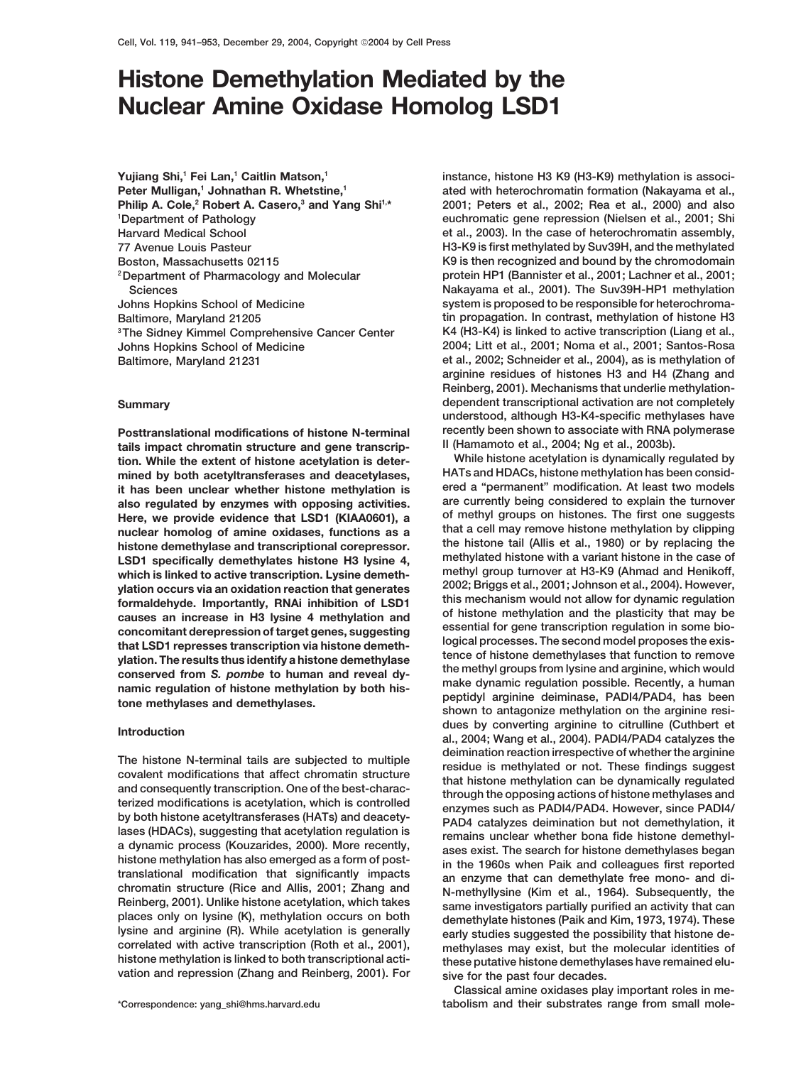# **Histone Demethylation Mediated by the Nuclear Amine Oxidase Homolog LSD1**

**Yujiang Shi,1 Fei Lan,1 Caitlin Matson,1** Peter Mulligan,<sup>1</sup> Johnathan R. Whetstine,<sup>1</sup> **Philip A. Cole,<sup>2</sup> Robert A. Casero,<sup>3</sup> and Yang Shi<sup>1,\*</sup> Department of Pathology**

tails impact chromatin structure and gene transcrip**tion. While the extent of histone acetylation is deter- While histone acetylation is dynamically regulated by**

**vation and repression (Zhang and Reinberg, 2001). For sive for the past four decades.**

**instance, histone H3 K9 (H3-K9) methylation is associated with heterochromatin formation (Nakayama et al., 2001; Peters et al., 2002; Rea et al., 2000) and also euchromatic gene repression (Nielsen et al., 2001; Shi <sup>1</sup> Harvard Medical School et al., 2003). In the case of heterochromatin assembly, 77 Avenue Louis Pasteur H3-K9 is first methylated by Suv39H, and the methylated Boston, Massachusetts 02115 K9 is then recognized and bound by the chromodomain protein HP1 (Bannister et al., 2001; Lachner et al., 2001; 2Department of Pharmacology and Molecular Sciences Nakayama et al., 2001). The Suv39H-HP1 methylation Johns Hopkins School of Medicine system is proposed to be responsible for heterochroma-Baltimore, Maryland 21205 tin propagation. In contrast, methylation of histone H3** <sup>3</sup>The Sidney Kimmel Comprehensive Cancer Center K4 (H3-K4) is linked to active transcription (Liang et al., **Johns Hopkins School of Medicine 2004; Litt et al., 2001; Noma et al., 2001; Santos-Rosa Baltimore, Maryland 21231 et al., 2002; Schneider et al., 2004), as is methylation of arginine residues of histones H3 and H4 (Zhang and Reinberg, 2001). Mechanisms that underlie methylation-Summary dependent transcriptional activation are not completely understood, although H3-K4-specific methylases have Posttranslational modifications of histone N-terminal recently been shown to associate with RNA polymerase**

mined by both acetyltransferases and deacetylases,<br> **HATS and HDACS, histone methylation has been consid-**<br> **ered a "permanent" modification.** At least two models **it has been unclear whether histone methylation is ered a "permanent" modification. At least two models also regulated by enzymes with opposing activities. are currently being considered to explain the turnover Here, we provide evidence that LSD1 (KIAA0601), a of methyl groups on histones. The first one suggests nuclear homolog of amine oxidases, functions as a that a cell may remove histone methylation by clipping the histone tail (Allis et al., 1980) or by replacing the histone demethylase and transcriptional corepressor. LSD1** specifically demethylates histone H3 lysine 4, methylated histone with a variant histone in the case of which is linked to active transcription I varie demeth.<br>Locally group turnover at H3-K9 (Ahmad and Henikoff, which is linked to active transcription. Lysine demeth-<br>which is linked to active transcription. Lysine demeth-<br>2002; Briggs et al., 2001; Johnson et al., 2004). However, varian point of the methylation of LSD1 and the plation formal dehyde. Importantly, RNAi inhibition of LSD1<br>
formaldehyde. Importantly, RNAi inhibition of LSD1<br>
causes an increase in H3 lysine 4 methylation and<br>
concomitan **dues by converting arginine to citrulline (Cuthbert et Introduction al., 2004; Wang et al., 2004). PADI4/PAD4 catalyzes the** The histone N-terminal tails are subjected to multiple<br>covalent modifications that affect chromatin structure<br>residue is methlylated or not. These findings suggest<br>and consequently transcription. One of the best-charac-<br>th **correlated with active transcription (Roth et al., 2001), learly studies suggested the possibility that histone decorrelated with active transcription (Roth et al., 2001), learly studies may exist, but the molecular ident** these putative histone demethylases have remained elu-

**Classical amine oxidases play important roles in me- \*Correspondence: yang\_shi@hms.harvard.edu tabolism and their substrates range from small mole-**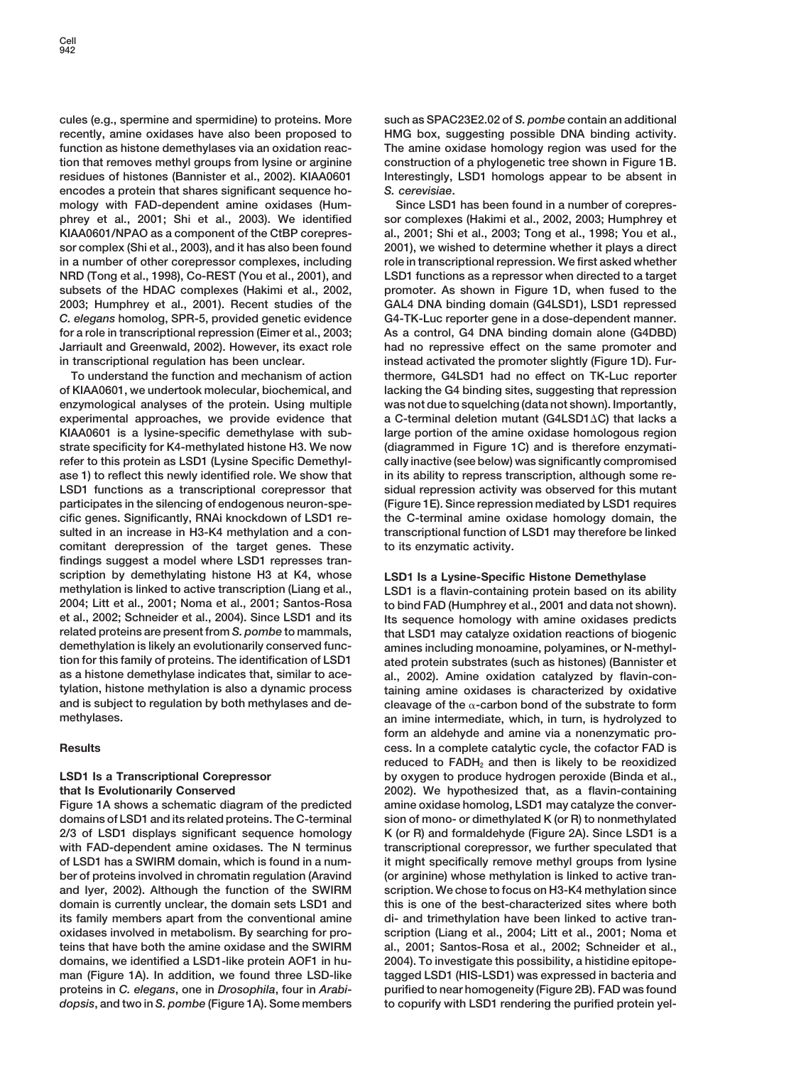**cules (e.g., spermine and spermidine) to proteins. More such as SPAC23E2.02 of** *S. pombe* **contain an additional recently, amine oxidases have also been proposed to HMG box, suggesting possible DNA binding activity. function as histone demethylases via an oxidation reac- The amine oxidase homology region was used for the tion that removes methyl groups from lysine or arginine construction of a phylogenetic tree shown in Figure 1B. residues of histones (Bannister et al., 2002). KIAA0601 Interestingly, LSD1 homologs appear to be absent in encodes a protein that shares significant sequence ho-** *S. cerevisiae***. mology with FAD-dependent amine oxidases (Hum- Since LSD1 has been found in a number of corepresphrey et al., 2001; Shi et al., 2003). We identified sor complexes (Hakimi et al., 2002, 2003; Humphrey et KIAA0601/NPAO as a component of the CtBP corepres- al., 2001; Shi et al., 2003; Tong et al., 1998; You et al., sor complex (Shi et al., 2003), and it has also been found 2001), we wished to determine whether it plays a direct in a number of other corepressor complexes, including role in transcriptional repression. We first asked whether NRD (Tong et al., 1998), Co-REST (You et al., 2001), and LSD1 functions as a repressor when directed to a target** subsets of the HDAC complexes (Hakimi et al., 2002, promoter. As shown in Figure 1D, when fused to the **2003; Humphrey et al., 2001). Recent studies of the GAL4 DNA binding domain (G4LSD1), LSD1 repressed** *C. elegans* **homolog, SPR-5, provided genetic evidence G4-TK-Luc reporter gene in a dose-dependent manner. for a role in transcriptional repression (Eimer et al., 2003; As a control, G4 DNA binding domain alone (G4DBD) Jarriault and Greenwald, 2002). However, its exact role had no repressive effect on the same promoter and in transcriptional regulation has been unclear. instead activated the promoter slightly (Figure 1D). Fur-**

**of KIAA0601, we undertook molecular, biochemical, and lacking the G4 binding sites, suggesting that repression enzymological analyses of the protein. Using multiple was not due to squelching (data not shown). Importantly, experimental approaches, we provide evidence that a C-terminal deletion mutant (G4LSD1C) that lacks a KIAA0601 is a lysine-specific demethylase with sub- large portion of the amine oxidase homologous region strate specificity for K4-methylated histone H3. We now (diagrammed in Figure 1C) and is therefore enzymatirefer to this protein as LSD1 (Lysine Specific Demethyl- cally inactive (see below) was significantly compromised ase 1) to reflect this newly identified role. We show that in its ability to repress transcription, although some re-LSD1 functions as a transcriptional corepressor that sidual repression activity was observed for this mutant participates in the silencing of endogenous neuron-spe- (Figure 1E). Since repression mediated by LSD1 requires cific genes. Significantly, RNAi knockdown of LSD1 re- the C-terminal amine oxidase homology domain, the sulted in an increase in H3-K4 methylation and a con- transcriptional function of LSD1 may therefore be linked comitant derepression of the target genes. These to its enzymatic activity. findings suggest a model where LSD1 represses transcription by demethylating histone H3 at K4, whose LSD1 Is a Lysine-Specific Histone Demethylase methylation is linked to active transcription (Liang et al., LSD1 is a flavin-containing protein based on its ability et al., 2002; Schneider et al., 2004). Since LSD1 and its Its sequence homology with amine oxidases predicts related proteins are present from** *S. pombe* **to mammals, that LSD1 may catalyze oxidation reactions of biogenic demethylation is likely an evolutionarily conserved func- amines including monoamine, polyamines, or N-methyltion for this family of proteins. The identification of LSD1 ated protein substrates (such as histones) (Bannister et as a histone demethylase indicates that, similar to ace- al., 2002). Amine oxidation catalyzed by flavin-con**and is subject to regulation by both methylases and de-<br>methylases.

**domains of LSD1 and its related proteins. The C-terminal sion of mono- or dimethylated K (or R) to nonmethylated 2/3 of LSD1 displays significant sequence homology K (or R) and formaldehyde (Figure 2A). Since LSD1 is a** with FAD-dependent amine oxidases. The N terminus transcriptional corepressor, we further speculated that **of LSD1 has a SWIRM domain, which is found in a num- it might specifically remove methyl groups from lysine** ber of proteins involved in chromatin regulation (Aravind (or arginine) whose methylation is linked to active tran**and Iyer, 2002). Although the function of the SWIRM scription. We chose to focus on H3-K4 methylation since domain is currently unclear, the domain sets LSD1 and this is one of the best-characterized sites where both its family members apart from the conventional amine di- and trimethylation have been linked to active tranoxidases involved in metabolism. By searching for pro- scription (Liang et al., 2004; Litt et al., 2001; Noma et teins that have both the amine oxidase and the SWIRM al., 2001; Santos-Rosa et al., 2002; Schneider et al., domains, we identified a LSD1-like protein AOF1 in hu- 2004). To investigate this possibility, a histidine epitopeman (Figure 1A). In addition, we found three LSD-like tagged LSD1 (HIS-LSD1) was expressed in bacteria and proteins in** *C. elegans***, one in** *Drosophila***, four in** *Arabi-* **purified to near homogeneity (Figure 2B). FAD was found** *dopsis***, and two in** *S. pombe* **(Figure 1A). Some members to copurify with LSD1 rendering the purified protein yel-**

**To understand the function and mechanism of action thermore, G4LSD1 had no effect on TK-Luc reporter**

 $2001$  and FAD (Humphrey et al., 2001 and data not shown). taining amine oxidases is characterized by oxidative cleavage of the  $\alpha$ -carbon bond of the substrate to form **methylases. an imine intermediate, which, in turn, is hydrolyzed to form an aldehyde and amine via a nonenzymatic pro-Results cess. In a complete catalytic cycle, the cofactor FAD is** reduced to FADH<sub>2</sub> and then is likely to be reoxidized **LSD1 Is a Transcriptional Corepressor by oxygen to produce hydrogen peroxide (Binda et al., that Is Evolutionarily Conserved 2002). We hypothesized that, as a flavin-containing Figure 1A shows a schematic diagram of the predicted amine oxidase homolog, LSD1 may catalyze the conver-**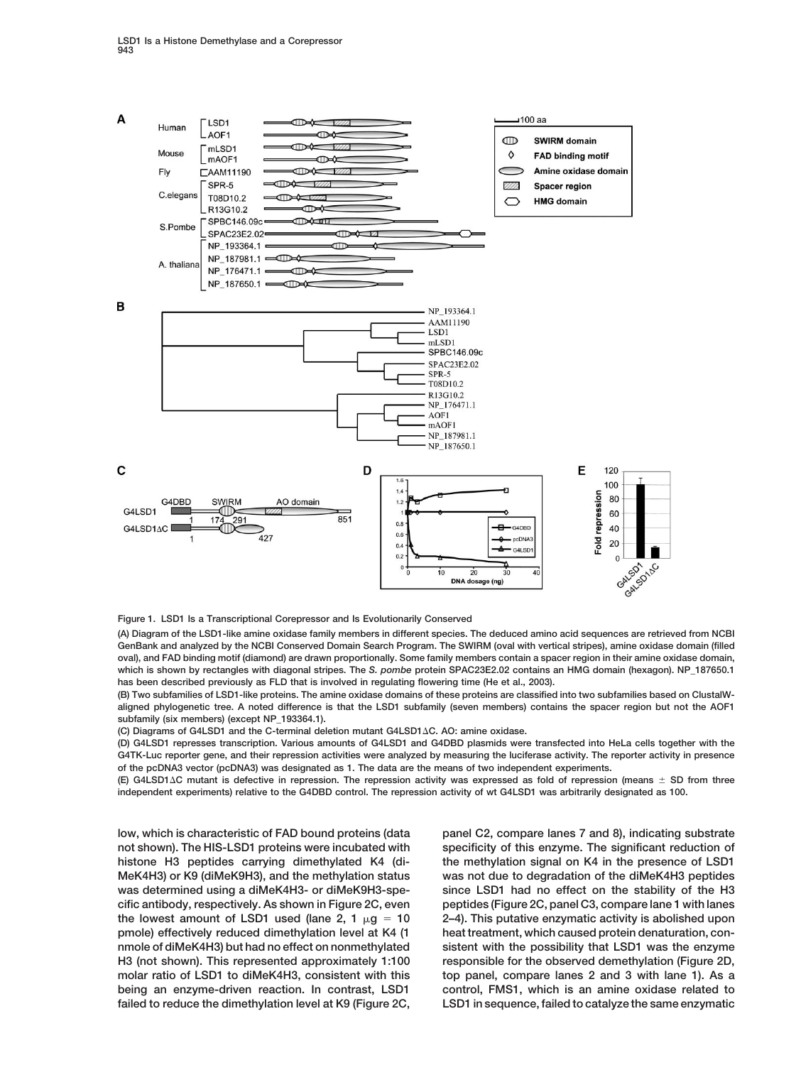

**Figure 1. LSD1 Is a Transcriptional Corepressor and Is Evolutionarily Conserved**

**(A) Diagram of the LSD1-like amine oxidase family members in different species. The deduced amino acid sequences are retrieved from NCBI GenBank and analyzed by the NCBI Conserved Domain Search Program. The SWIRM (oval with vertical stripes), amine oxidase domain (filled oval), and FAD binding motif (diamond) are drawn proportionally. Some family members contain a spacer region in their amine oxidase domain, which is shown by rectangles with diagonal stripes. The** *S. pombe* **protein SPAC23E2.02 contains an HMG domain (hexagon). NP\_187650.1 has been described previously as FLD that is involved in regulating flowering time (He et al., 2003).**

**(B) Two subfamilies of LSD1-like proteins. The amine oxidase domains of these proteins are classified into two subfamilies based on ClustalWaligned phylogenetic tree. A noted difference is that the LSD1 subfamily (seven members) contains the spacer region but not the AOF1 subfamily (six members) (except NP\_193364.1).**

**(C) Diagrams of G4LSD1 and the C-terminal deletion mutant G4LSD1C. AO: amine oxidase.**

**(D) G4LSD1 represses transcription. Various amounts of G4LSD1 and G4DBD plasmids were transfected into HeLa cells together with the G4TK-Luc reporter gene, and their repression activities were analyzed by measuring the luciferase activity. The reporter activity in presence of the pcDNA3 vector (pcDNA3) was designated as 1. The data are the means of two independent experiments.**

**(E) G4LSD1C mutant is defective in repression. The repression activity was expressed as fold of repression (means SD from three independent experiments) relative to the G4DBD control. The repression activity of wt G4LSD1 was arbitrarily designated as 100.**

**low, which is characteristic of FAD bound proteins (data panel C2, compare lanes 7 and 8), indicating substrate**

**not shown). The HIS-LSD1 proteins were incubated with specificity of this enzyme. The significant reduction of histone H3 peptides carrying dimethylated K4 (di- the methylation signal on K4 in the presence of LSD1 MeK4H3) or K9 (diMeK9H3), and the methylation status was not due to degradation of the diMeK4H3 peptides was determined using a diMeK4H3- or diMeK9H3-spe- since LSD1 had no effect on the stability of the H3 cific antibody, respectively. As shown in Figure 2C, even peptides (Figure 2C, panel C3, compare lane 1 with lanes** the lowest amount of LSD1 used (lane 2,  $1 \mu q = 10$  2–4). This putative enzymatic activity is abolished upon **pmole) effectively reduced dimethylation level at K4 (1 heat treatment, which caused protein denaturation, connmole of diMeK4H3) but had no effect on nonmethylated sistent with the possibility that LSD1 was the enzyme H3 (not shown). This represented approximately 1:100 responsible for the observed demethylation (Figure 2D, molar ratio of LSD1 to diMeK4H3, consistent with this top panel, compare lanes 2 and 3 with lane 1). As a being an enzyme-driven reaction. In contrast, LSD1 control, FMS1, which is an amine oxidase related to failed to reduce the dimethylation level at K9 (Figure 2C, LSD1 in sequence, failed to catalyze the same enzymatic**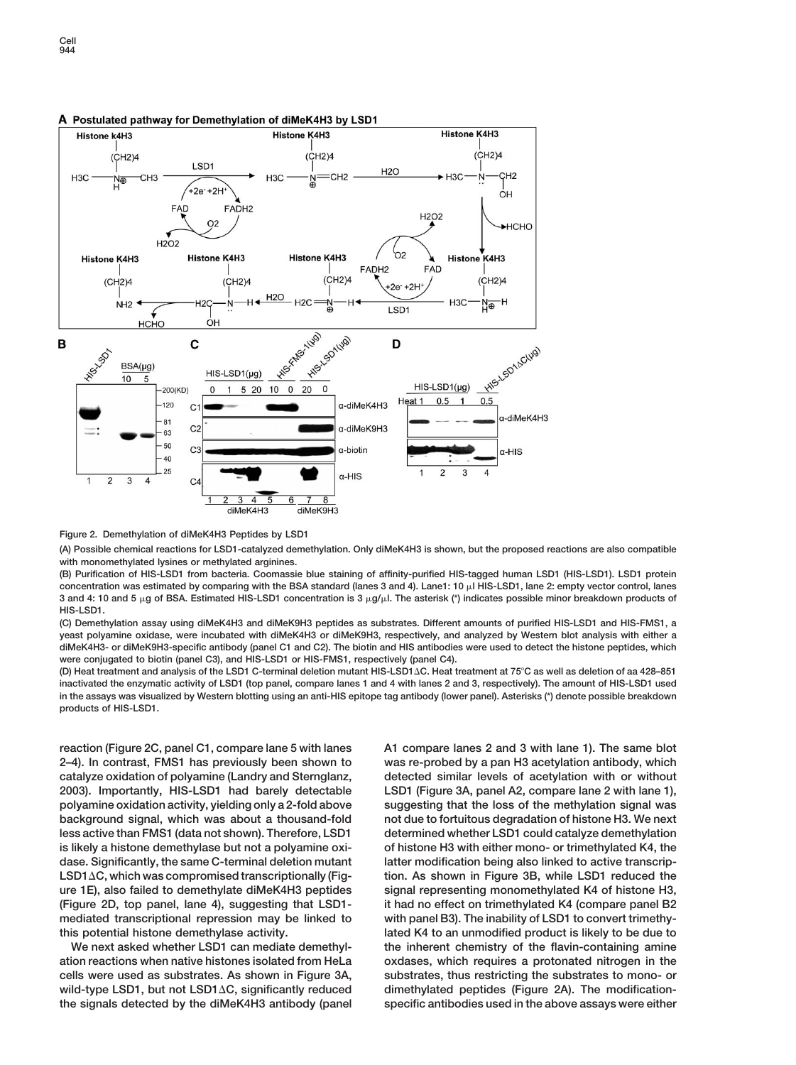### A Postulated pathway for Demethylation of diMeK4H3 by LSD1



# **Figure 2. Demethylation of diMeK4H3 Peptides by LSD1**

**(A) Possible chemical reactions for LSD1-catalyzed demethylation. Only diMeK4H3 is shown, but the proposed reactions are also compatible with monomethylated lysines or methylated arginines.**

**(B) Purification of HIS-LSD1 from bacteria. Coomassie blue staining of affinity-purified HIS-tagged human LSD1 (HIS-LSD1). LSD1 protein** concentration was estimated by comparing with the BSA standard (lanes 3 and 4). Lane1: 10 µl HIS-LSD1, lane 2: empty vector control, lanes **3 and 4: 10 and 5 g of BSA. Estimated HIS-LSD1 concentration is 3 g/l. The asterisk (\*) indicates possible minor breakdown products of HIS-LSD1.**

**(C) Demethylation assay using diMeK4H3 and diMeK9H3 peptides as substrates. Different amounts of purified HIS-LSD1 and HIS-FMS1, a yeast polyamine oxidase, were incubated with diMeK4H3 or diMeK9H3, respectively, and analyzed by Western blot analysis with either a diMeK4H3- or diMeK9H3-specific antibody (panel C1 and C2). The biotin and HIS antibodies were used to detect the histone peptides, which were conjugated to biotin (panel C3), and HIS-LSD1 or HIS-FMS1, respectively (panel C4).**

**(D) Heat treatment and analysis of the LSD1 C-terminal deletion mutant HIS-LSD1C. Heat treatment at 75C as well as deletion of aa 428–851 inactivated the enzymatic activity of LSD1 (top panel, compare lanes 1 and 4 with lanes 2 and 3, respectively). The amount of HIS-LSD1 used in the assays was visualized by Western blotting using an anti-HIS epitope tag antibody (lower panel). Asterisks (\*) denote possible breakdown products of HIS-LSD1.**

**the signals detected by the diMeK4H3 antibody (panel specific antibodies used in the above assays were either**

**reaction (Figure 2C, panel C1, compare lane 5 with lanes A1 compare lanes 2 and 3 with lane 1). The same blot 2–4). In contrast, FMS1 has previously been shown to was re-probed by a pan H3 acetylation antibody, which catalyze oxidation of polyamine (Landry and Sternglanz, detected similar levels of acetylation with or without 2003). Importantly, HIS-LSD1 had barely detectable LSD1 (Figure 3A, panel A2, compare lane 2 with lane 1), polyamine oxidation activity, yielding only a 2-fold above suggesting that the loss of the methylation signal was background signal, which was about a thousand-fold not due to fortuitous degradation of histone H3. We next** less active than FMS1 (data not shown). Therefore, LSD1 determined whether LSD1 could catalyze demethylation **is likely a histone demethylase but not a polyamine oxi- of histone H3 with either mono- or trimethylated K4, the** dase. Significantly, the same C-terminal deletion mutant latter modification being also linked to active transcrip-**LSD1C, which was compromised transcriptionally (Fig- tion. As shown in Figure 3B, while LSD1 reduced the ure 1E), also failed to demethylate diMeK4H3 peptides signal representing monomethylated K4 of histone H3, (Figure 2D, top panel, lane 4), suggesting that LSD1- it had no effect on trimethylated K4 (compare panel B2 mediated transcriptional repression may be linked to with panel B3). The inability of LSD1 to convert trimethythis potential histone demethylase activity. lated K4 to an unmodified product is likely to be due to We next asked whether LSD1 can mediate demethyl- the inherent chemistry of the flavin-containing amine ation reactions when native histones isolated from HeLa oxdases, which requires a protonated nitrogen in the cells were used as substrates. As shown in Figure 3A, substrates, thus restricting the substrates to mono- or wild-type LSD1, but not LSD1C, significantly reduced dimethylated peptides (Figure 2A). The modification-**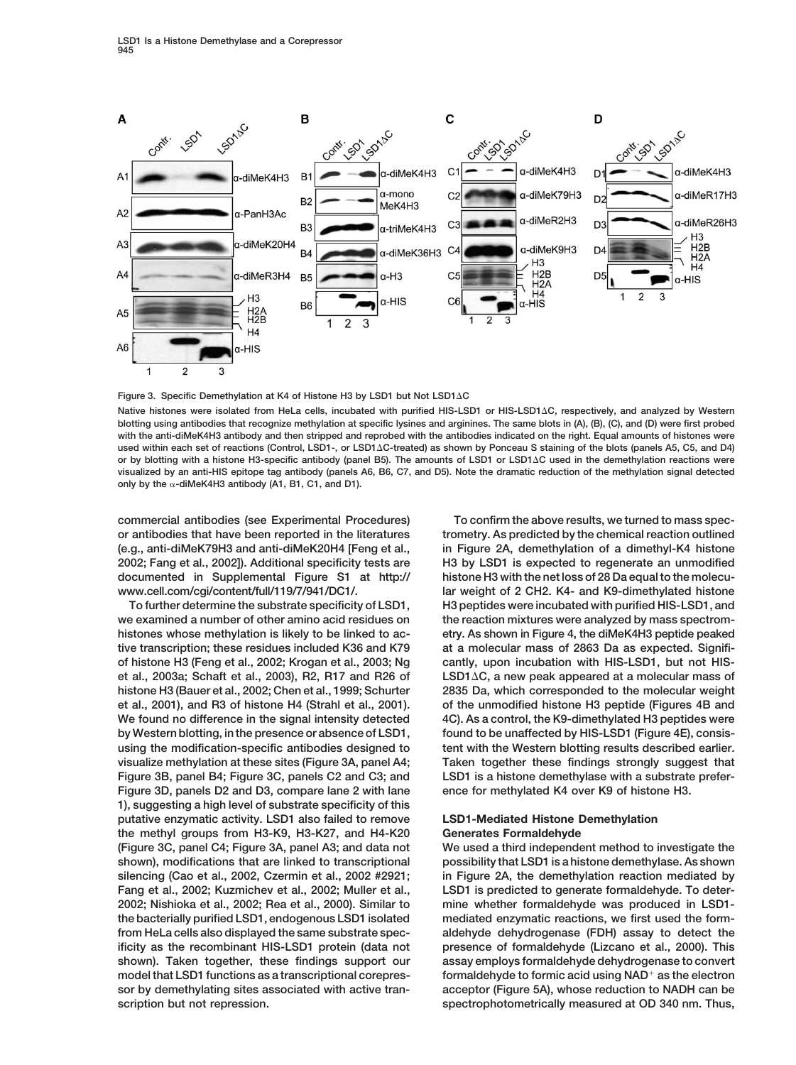

**Figure 3. Specific Demethylation at K4 of Histone H3 by LSD1 but Not LSD1C**

**Native histones were isolated from HeLa cells, incubated with purified HIS-LSD1 or HIS-LSD1C, respectively, and analyzed by Western blotting using antibodies that recognize methylation at specific lysines and arginines. The same blots in (A), (B), (C), and (D) were first probed with the anti-diMeK4H3 antibody and then stripped and reprobed with the antibodies indicated on the right. Equal amounts of histones were used within each set of reactions (Control, LSD1-, or LSD1C-treated) as shown by Ponceau S staining of the blots (panels A5, C5, and D4) or by blotting with a histone H3-specific antibody (panel B5). The amounts of LSD1 or LSD1C used in the demethylation reactions were visualized by an anti-HIS epitope tag antibody (panels A6, B6, C7, and D5). Note the dramatic reduction of the methylation signal detected** only by the α-diMeK4H3 antibody (A1, B1, C1, and D1).

**commercial antibodies (see Experimental Procedures) To confirm the above results, we turned to mass specor antibodies that have been reported in the literatures trometry. As predicted by the chemical reaction outlined (e.g., anti-diMeK79H3 and anti-diMeK20H4 [Feng et al., in Figure 2A, demethylation of a dimethyl-K4 histone 2002; Fang et al., 2002]). Additional specificity tests are H3 by LSD1 is expected to regenerate an unmodified documented in Supplemental Figure S1 at http:// histone H3 with the net loss of 28 Da equal to the molecu-**

**we examined a number of other amino acid residues on the reaction mixtures were analyzed by mass spectromhistones whose methylation is likely to be linked to ac- etry. As shown in Figure 4, the diMeK4H3 peptide peaked tive transcription; these residues included K36 and K79 at a molecular mass of 2863 Da as expected. Signifiof histone H3 (Feng et al., 2002; Krogan et al., 2003; Ng cantly, upon incubation with HIS-LSD1, but not HISet al., 2003a; Schaft et al., 2003), R2, R17 and R26 of LSD1C, a new peak appeared at a molecular mass of histone H3 (Bauer et al., 2002; Chen et al., 1999; Schurter 2835 Da, which corresponded to the molecular weight et al., 2001), and R3 of histone H4 (Strahl et al., 2001). of the unmodified histone H3 peptide (Figures 4B and We found no difference in the signal intensity detected 4C). As a control, the K9-dimethylated H3 peptides were by Western blotting, in the presence or absence of LSD1, found to be unaffected by HIS-LSD1 (Figure 4E), consisusing the modification-specific antibodies designed to tent with the Western blotting results described earlier. visualize methylation at these sites (Figure 3A, panel A4; Taken together these findings strongly suggest that Figure 3B, panel B4; Figure 3C, panels C2 and C3; and LSD1 is a histone demethylase with a substrate prefer-Figure 3D, panels D2 and D3, compare lane 2 with lane ence for methylated K4 over K9 of histone H3. 1), suggesting a high level of substrate specificity of this putative enzymatic activity. LSD1 also failed to remove LSD1-Mediated Histone Demethylation the methyl groups from H3-K9, H3-K27, and H4-K20 Generates Formaldehyde (Figure 3C, panel C4; Figure 3A, panel A3; and data not We used a third independent method to investigate the shown), modifications that are linked to transcriptional possibility that LSD1 is a histone demethylase. As shown silencing (Cao et al., 2002, Czermin et al., 2002 #2921; in Figure 2A, the demethylation reaction mediated by Fang et al., 2002; Kuzmichev et al., 2002; Muller et al., LSD1 is predicted to generate formaldehyde. To deter-2002; Nishioka et al., 2002; Rea et al., 2000). Similar to mine whether formaldehyde was produced in LSD1 the bacterially purified LSD1, endogenous LSD1 isolated mediated enzymatic reactions, we first used the formfrom HeLa cells also displayed the same substrate spec- aldehyde dehydrogenase (FDH) assay to detect the ificity as the recombinant HIS-LSD1 protein (data not presence of formaldehyde (Lizcano et al., 2000). This shown). Taken together, these findings support our assay employs formaldehyde dehydrogenase to convert formaldehyde to formic acid using NAD model that LSD1 functions as a transcriptional corepres- as the electron sor by demethylating sites associated with active tran- acceptor (Figure 5A), whose reduction to NADH can be scription but not repression. spectrophotometrically measured at OD 340 nm. Thus,**

**www.cell.com/cgi/content/full/119/7/941/DC1/. lar weight of 2 CH2. K4- and K9-dimethylated histone To further determine the substrate specificity of LSD1, H3 peptides were incubated with purified HIS-LSD1, and**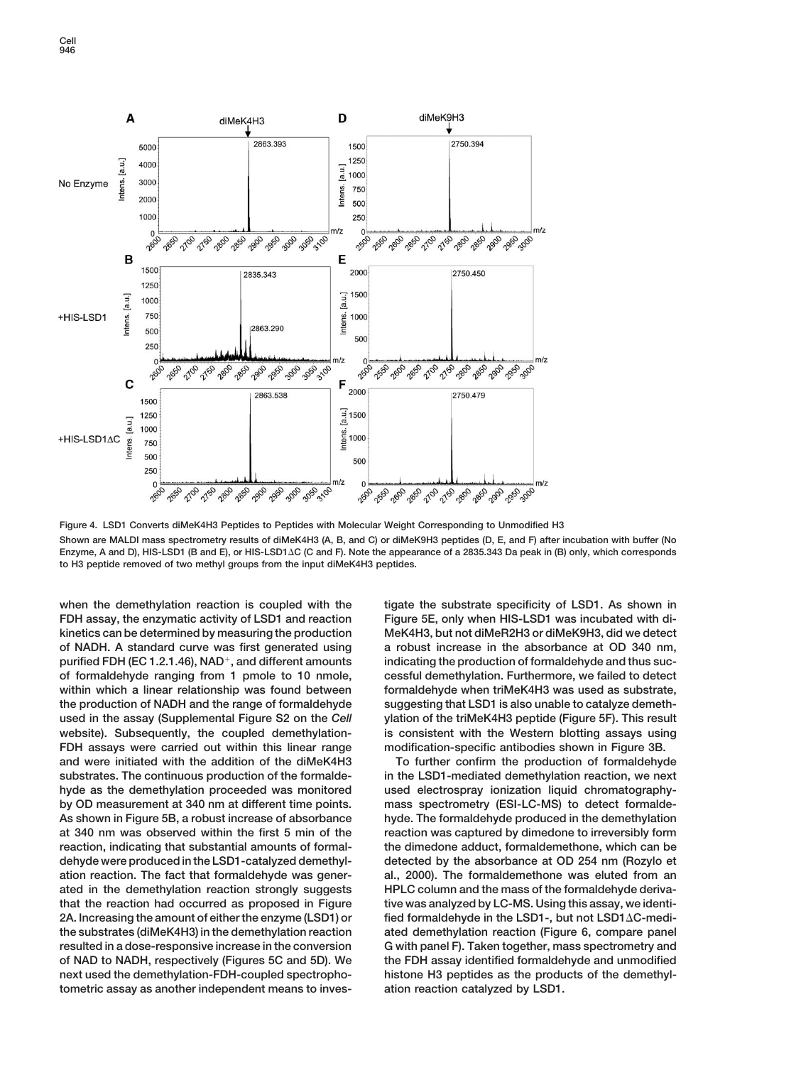

**Figure 4. LSD1 Converts diMeK4H3 Peptides to Peptides with Molecular Weight Corresponding to Unmodified H3 Shown are MALDI mass spectrometry results of diMeK4H3 (A, B, and C) or diMeK9H3 peptides (D, E, and F) after incubation with buffer (No Enzyme, A and D), HIS-LSD1 (B and E), or HIS-LSD1C (C and F). Note the appearance of a 2835.343 Da peak in (B) only, which corresponds to H3 peptide removed of two methyl groups from the input diMeK4H3 peptides.**

when the demethylation reaction is coupled with the tigate the substrate specificity of LSD1. As shown in **FDH assay, the enzymatic activity of LSD1 and reaction Figure 5E, only when HIS-LSD1 was incubated with dikinetics can be determined by measuring the production MeK4H3, but not diMeR2H3 or diMeK9H3, did we detect of NADH. A standard curve was first generated using a robust increase in the absorbance at OD 340 nm, purified FDH (EC 1.2.1.46), NAD, and different amounts indicating the production of formaldehyde and thus sucof formaldehyde ranging from 1 pmole to 10 nmole, cessful demethylation. Furthermore, we failed to detect** within which a linear relationship was found between formaldehyde when triMeK4H3 was used as substrate, **the production of NADH and the range of formaldehyde suggesting that LSD1 is also unable to catalyze demethused in the assay (Supplemental Figure S2 on the** *Cell* **ylation of the triMeK4H3 peptide (Figure 5F). This result website). Subsequently, the coupled demethylation- is consistent with the Western blotting assays using FDH assays were carried out within this linear range modification-specific antibodies shown in Figure 3B. and were initiated with the addition of the diMeK4H3 To further confirm the production of formaldehyde substrates. The continuous production of the formalde- in the LSD1-mediated demethylation reaction, we next hyde as the demethylation proceeded was monitored used electrospray ionization liquid chromatographyby OD measurement at 340 nm at different time points. mass spectrometry (ESI-LC-MS) to detect formalde-As shown in Figure 5B, a robust increase of absorbance hyde. The formaldehyde produced in the demethylation at 340 nm was observed within the first 5 min of the reaction was captured by dimedone to irreversibly form reaction, indicating that substantial amounts of formal- the dimedone adduct, formaldemethone, which can be dehyde were produced in the LSD1-catalyzed demethyl- detected by the absorbance at OD 254 nm (Rozylo et ation reaction. The fact that formaldehyde was gener- al., 2000). The formaldemethone was eluted from an ated in the demethylation reaction strongly suggests HPLC column and the mass of the formaldehyde derivathat the reaction had occurred as proposed in Figure tive was analyzed by LC-MS. Using this assay, we identi-2A. Increasing the amount of either the enzyme (LSD1) or fied formaldehyde in the LSD1-, but not LSD1C-medithe substrates (diMeK4H3) in the demethylation reaction ated demethylation reaction (Figure 6, compare panel resulted in a dose-responsive increase in the conversion G with panel F). Taken together, mass spectrometry and of NAD to NADH, respectively (Figures 5C and 5D). We the FDH assay identified formaldehyde and unmodified next used the demethylation-FDH-coupled spectropho- histone H3 peptides as the products of the demethyltometric assay as another independent means to inves- ation reaction catalyzed by LSD1.**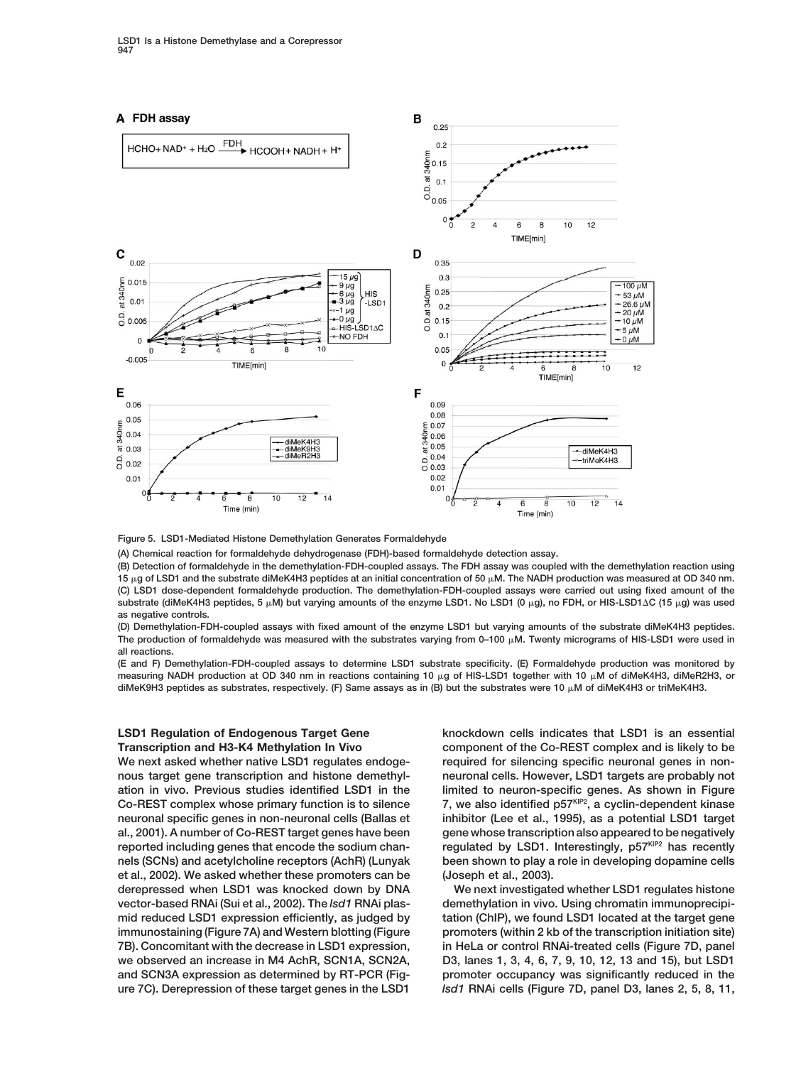

**Figure 5. LSD1-Mediated Histone Demethylation Generates Formaldehyde**

**(A) Chemical reaction for formaldehyde dehydrogenase (FDH)-based formaldehyde detection assay.**

**(B) Detection of formaldehyde in the demethylation-FDH-coupled assays. The FDH assay was coupled with the demethylation reaction using 15** μg of LSD1 and the substrate diMeK4H3 peptides at an initial concentration of 50 μM. The NADH production was measured at OD 340 nm. **(C) LSD1 dose-dependent formaldehyde production. The demethylation-FDH-coupled assays were carried out using fixed amount of the substrate (diMeK4H3 peptides, 5 M) but varying amounts of the enzyme LSD1. No LSD1 (0 g), no FDH, or HIS-LSD1C (15 g) was used as negative controls.**

**(D) Demethylation-FDH-coupled assays with fixed amount of the enzyme LSD1 but varying amounts of the substrate diMeK4H3 peptides.** The production of formaldehyde was measured with the substrates varying from 0–100 µM. Twenty micrograms of HIS-LSD1 were used in **all reactions.**

**(E and F) Demethylation-FDH-coupled assays to determine LSD1 substrate specificity. (E) Formaldehyde production was monitored by** measuring NADH production at OD 340 nm in reactions containing 10 µg of HIS-LSD1 together with 10 µM of diMeK4H3, diMeR2H3, or **diMeK9H3 peptides as substrates, respectively. (F) Same assays as in (B) but the substrates were 10 M of diMeK4H3 or triMeK4H3.**

**nous target gene transcription and histone demethyl- neuronal cells. However, LSD1 targets are probably not ation in vivo. Previous studies identified LSD1 in the limited to neuron-specific genes. As shown in Figure 7, we also identified p57KIP2 Co-REST complex whose primary function is to silence , a cyclin-dependent kinase neuronal specific genes in non-neuronal cells (Ballas et inhibitor (Lee et al., 1995), as a potential LSD1 target al., 2001). A number of Co-REST target genes have been gene whose transcription also appeared to be negatively** reported including genes that encode the sodium chan- regulated by LSD1. Interestingly, p57KIP2 has recently **nels (SCNs) and acetylcholine receptors (AchR) (Lunyak been shown to play a role in developing dopamine cells et al., 2002). We asked whether these promoters can be (Joseph et al., 2003). derepressed when LSD1 was knocked down by DNA We next investigated whether LSD1 regulates histone vector-based RNAi (Sui et al., 2002). The** *lsd1* **RNAi plas- demethylation in vivo. Using chromatin immunoprecipimid reduced LSD1 expression efficiently, as judged by tation (ChIP), we found LSD1 located at the target gene immunostaining (Figure 7A) and Western blotting (Figure promoters (within 2 kb of the transcription initiation site) 7B). Concomitant with the decrease in LSD1 expression, in HeLa or control RNAi-treated cells (Figure 7D, panel we observed an increase in M4 AchR, SCN1A, SCN2A, D3, lanes 1, 3, 4, 6, 7, 9, 10, 12, 13 and 15), but LSD1 and SCN3A expression as determined by RT-PCR (Fig- promoter occupancy was significantly reduced in the**

**LSD1 Regulation of Endogenous Target Gene knockdown cells indicates that LSD1 is an essential Transcription and H3-K4 Methylation In Vivo component of the Co-REST complex and is likely to be** We next asked whether native LSD1 regulates endoge-<br>
required for silencing specific neuronal genes in non-

**ure 7C). Derepression of these target genes in the LSD1** *lsd1* **RNAi cells (Figure 7D, panel D3, lanes 2, 5, 8, 11,**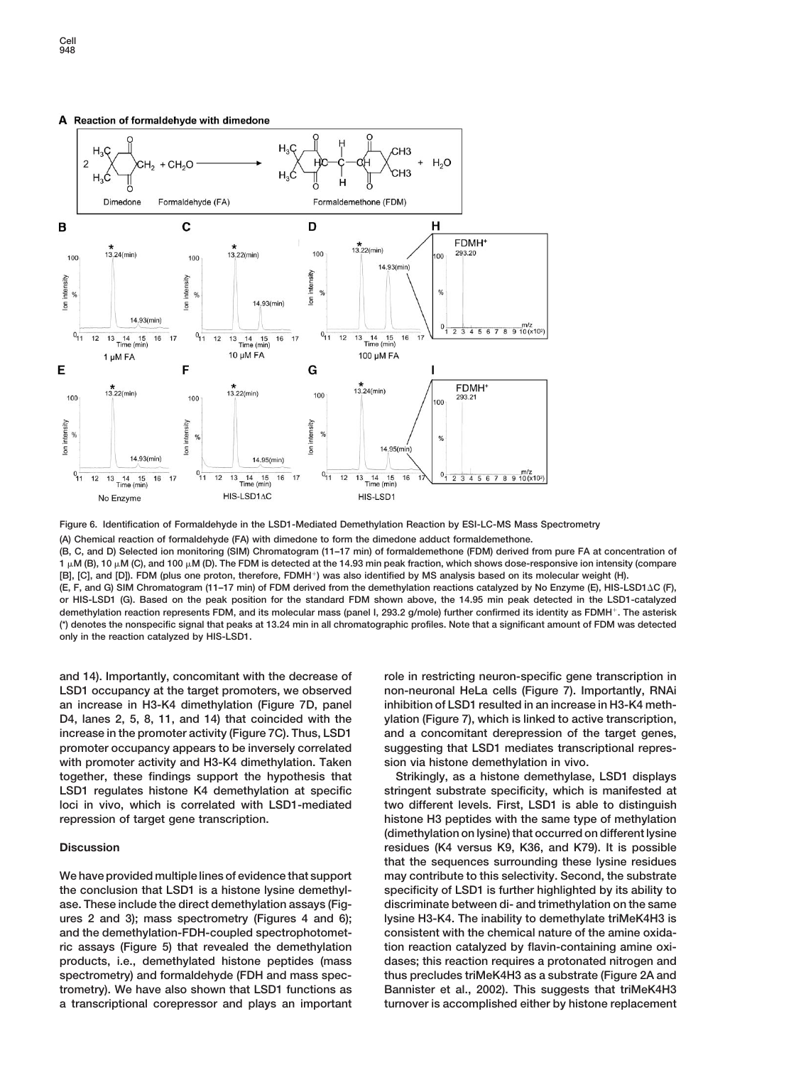# A Reaction of formaldehyde with dimedone



**Figure 6. Identification of Formaldehyde in the LSD1-Mediated Demethylation Reaction by ESI-LC-MS Mass Spectrometry**

**(A) Chemical reaction of formaldehyde (FA) with dimedone to form the dimedone adduct formaldemethone.**

**(B, C, and D) Selected ion monitoring (SIM) Chromatogram (11–17 min) of formaldemethone (FDM) derived from pure FA at concentration of 1 M (B), 10 M (C), and 100 M (D). The FDM is detected at the 14.93 min peak fraction, which shows dose-responsive ion intensity (compare [B], [C], and [D]). FDM (plus one proton, therefore, FDMH) was also identified by MS analysis based on its molecular weight (H).**

**(E, F, and G) SIM Chromatogram (11–17 min) of FDM derived from the demethylation reactions catalyzed by No Enzyme (E), HIS-LSD1C (F), or HIS-LSD1 (G). Based on the peak position for the standard FDM shown above, the 14.95 min peak detected in the LSD1-catalyzed demethylation reaction represents FDM, and its molecular mass (panel I, 293.2 g/mole) further confirmed its identity as FDMH. The asterisk (\*) denotes the nonspecific signal that peaks at 13.24 min in all chromatographic profiles. Note that a significant amount of FDM was detected only in the reaction catalyzed by HIS-LSD1.**

with promoter activity and H3-K4 dimethylation. Taken sion via histone demethylation in vivo. **together, these findings support the hypothesis that Strikingly, as a histone demethylase, LSD1 displays** LSD1 regulates histone K4 demethylation at specific stringent substrate specificity, which is manifested at **loci in vivo, which is correlated with LSD1-mediated two different levels. First, LSD1 is able to distinguish repression of target gene transcription. histone H3 peptides with the same type of methylation**

**the conclusion that LSD1 is a histone lysine demethyl- specificity of LSD1 is further highlighted by its ability to ase. These include the direct demethylation assays (Fig- discriminate between di- and trimethylation on the same ures 2 and 3); mass spectrometry (Figures 4 and 6); lysine H3-K4. The inability to demethylate triMeK4H3 is and the demethylation-FDH-coupled spectrophotomet- consistent with the chemical nature of the amine oxidaric assays (Figure 5) that revealed the demethylation tion reaction catalyzed by flavin-containing amine oxiproducts, i.e., demethylated histone peptides (mass dases; this reaction requires a protonated nitrogen and spectrometry) and formaldehyde (FDH and mass spec- thus precludes triMeK4H3 as a substrate (Figure 2A and trometry). We have also shown that LSD1 functions as Bannister et al., 2002). This suggests that triMeK4H3 a transcriptional corepressor and plays an important turnover is accomplished either by histone replacement**

**and 14). Importantly, concomitant with the decrease of role in restricting neuron-specific gene transcription in LSD1 occupancy at the target promoters, we observed non-neuronal HeLa cells (Figure 7). Importantly, RNAi an increase in H3-K4 dimethylation (Figure 7D, panel inhibition of LSD1 resulted in an increase in H3-K4 meth-D4, lanes 2, 5, 8, 11, and 14) that coincided with the ylation (Figure 7), which is linked to active transcription, increase in the promoter activity (Figure 7C). Thus, LSD1 and a concomitant derepression of the target genes, promoter occupancy appears to be inversely correlated suggesting that LSD1 mediates transcriptional repres-**

**(dimethylation on lysine) that occurred on different lysine Discussion residues (K4 versus K9, K36, and K79). It is possible that the sequences surrounding these lysine residues We have provided multiple lines of evidence that support may contribute to this selectivity. Second, the substrate**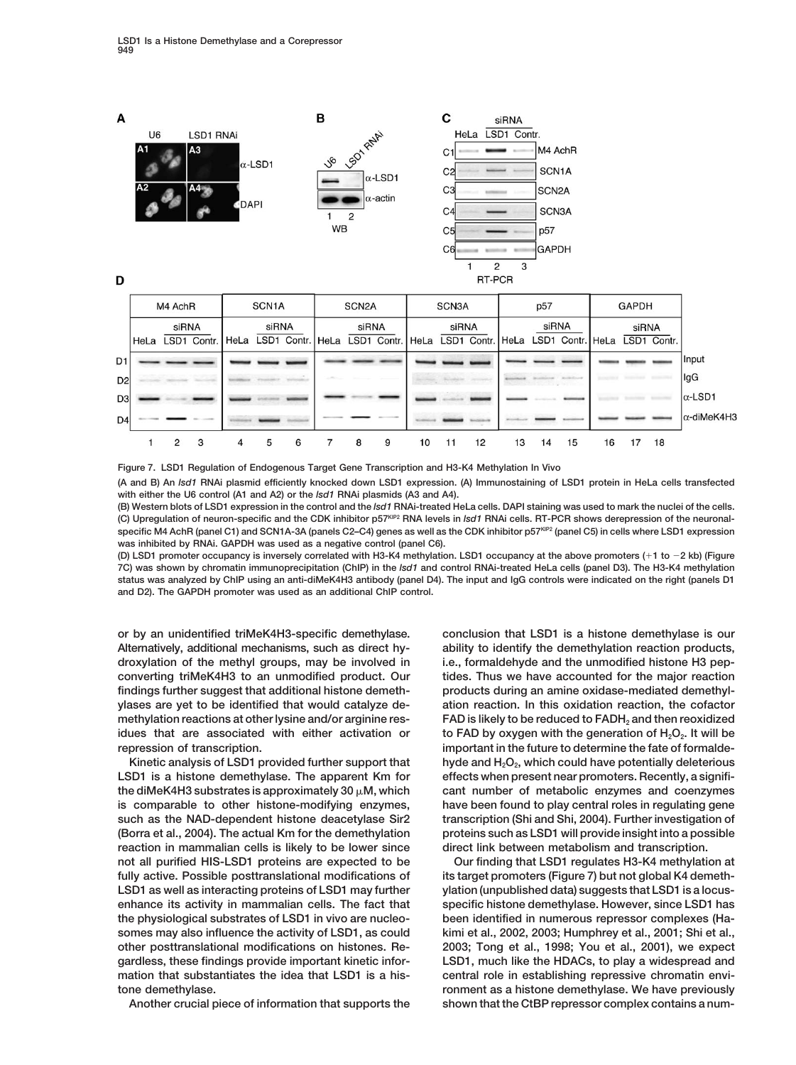

D

|                | M4 AchR |                |             | SCN <sub>1</sub> A |   |   | SCN <sub>2</sub> A                                                  |   |   | SCN3A |    |                | p57   |    |                      | <b>GAPDH</b> |    |             |                    |
|----------------|---------|----------------|-------------|--------------------|---|---|---------------------------------------------------------------------|---|---|-------|----|----------------|-------|----|----------------------|--------------|----|-------------|--------------------|
|                |         | siRNA          |             | siRNA              |   |   | siRNA                                                               |   |   | siRNA |    |                | siRNA |    |                      | siRNA        |    |             |                    |
|                | HeLa    |                | LSD1 Contr. | <b>HeLa</b>        |   |   | LSD1 Contr. HeLa LSD1 Contr. HeLa LSD1 Contr. HeLa LSD1 Contr. HeLa |   |   |       |    |                |       |    |                      |              |    | LSD1 Contr. |                    |
| D <sub>1</sub> |         |                |             |                    |   |   |                                                                     |   |   |       |    |                |       |    |                      |              |    |             | Input              |
| D <sub>2</sub> |         |                |             |                    |   |   |                                                                     |   |   |       |    |                |       |    | <b>Market County</b> |              |    |             | lgG                |
| D <sub>3</sub> |         |                |             |                    |   |   |                                                                     |   |   |       |    |                |       |    |                      |              |    |             | $\alpha$ -LSD1     |
| D <sub>4</sub> |         |                |             |                    |   |   |                                                                     |   |   |       |    | <b>GENERAL</b> |       |    |                      |              |    |             | $\alpha$ -diMeK4H3 |
|                |         | $\mathfrak{p}$ | 3           | 4                  | 5 | 6 |                                                                     | 8 | 9 | 10    | 11 | 12             | 13    | 14 | 15                   | 16           | 17 | 18          |                    |

**Figure 7. LSD1 Regulation of Endogenous Target Gene Transcription and H3-K4 Methylation In Vivo (A and B) An** *lsd1* **RNAi plasmid efficiently knocked down LSD1 expression. (A) Immunostaining of LSD1 protein in HeLa cells transfected with either the U6 control (A1 and A2) or the** *lsd1* **RNAi plasmids (A3 and A4).**

**(B) Western blots of LSD1 expression in the control and the** *lsd1* **RNAi-treated HeLa cells. DAPI staining was used to mark the nuclei of the cells. (C) Upregulation of neuron-specific and the CDK inhibitor p57KIP2 RNA levels in** *lsd1* **RNAi cells. RT-PCR shows derepression of the neuronal**specific M4 AchR (panel C1) and SCN1A-3A (panels C2-C4) genes as well as the CDK inhibitor p57KIP2 (panel C5) in cells where LSD1 expression **was inhibited by RNAi. GAPDH was used as a negative control (panel C6).**

**(D) LSD1 promoter occupancy is inversely correlated with H3-K4 methylation. LSD1 occupancy at the above promoters (1 to 2 kb) (Figure 7C) was shown by chromatin immunoprecipitation (ChIP) in the** *lsd1* **and control RNAi-treated HeLa cells (panel D3). The H3-K4 methylation status was analyzed by ChIP using an anti-diMeK4H3 antibody (panel D4). The input and IgG controls were indicated on the right (panels D1 and D2). The GAPDH promoter was used as an additional ChIP control.**

**or by an unidentified triMeK4H3-specific demethylase. conclusion that LSD1 is a histone demethylase is our repression of transcription. important in the future to determine the fate of formalde-**

**reaction in mammalian cells is likely to be lower since direct link between metabolism and transcription. fully active. Possible posttranslational modifications of its target promoters (Figure 7) but not global K4 demeth-**

**Alternatively, additional mechanisms, such as direct hy- ability to identify the demethylation reaction products, droxylation of the methyl groups, may be involved in i.e., formaldehyde and the unmodified histone H3 pepconverting triMeK4H3 to an unmodified product. Our tides. Thus we have accounted for the major reaction findings further suggest that additional histone demeth- products during an amine oxidase-mediated demethylylases are yet to be identified that would catalyze de- ation reaction. In this oxidation reaction, the cofactor methylation reactions at other lysine and/or arginine res- FAD is likely to be reduced to FADH2 and then reoxidized idues that are associated with either activation or brace FAD by oxygen with the generation of H<sub>2</sub>O<sub>2</sub>. It will be Kinetic analysis of LSD1 provided further support that hyde and H2O2, which could have potentially deleterious** LSD1 is a histone demethylase. The apparent Km for effects when present near promoters. Recently, a signifi**the diMeK4H3 substrates is approximately 30 M, which cant number of metabolic enzymes and coenzymes is comparable to other histone-modifying enzymes, have been found to play central roles in regulating gene such as the NAD-dependent histone deacetylase Sir2 transcription (Shi and Shi, 2004). Further investigation of (Borra et al., 2004). The actual Km for the demethylation proteins such as LSD1 will provide insight into a possible**

**not all purified HIS-LSD1 proteins are expected to be Our finding that LSD1 regulates H3-K4 methylation at** LSD1 as well as interacting proteins of LSD1 may further ylation (unpublished data) suggests that LSD1 is a locus**enhance its activity in mammalian cells. The fact that specific histone demethylase. However, since LSD1 has the physiological substrates of LSD1 in vivo are nucleo- been identified in numerous repressor complexes (Hasomes may also influence the activity of LSD1, as could kimi et al., 2002, 2003; Humphrey et al., 2001; Shi et al., other posttranslational modifications on histones. Re- 2003; Tong et al., 1998; You et al., 2001), we expect gardless, these findings provide important kinetic infor- LSD1, much like the HDACs, to play a widespread and mation that substantiates the idea that LSD1 is a his- central role in establishing repressive chromatin envitone demethylase. ronment as a histone demethylase. We have previously Another crucial piece of information that supports the shown that the CtBP repressor complex contains a num-**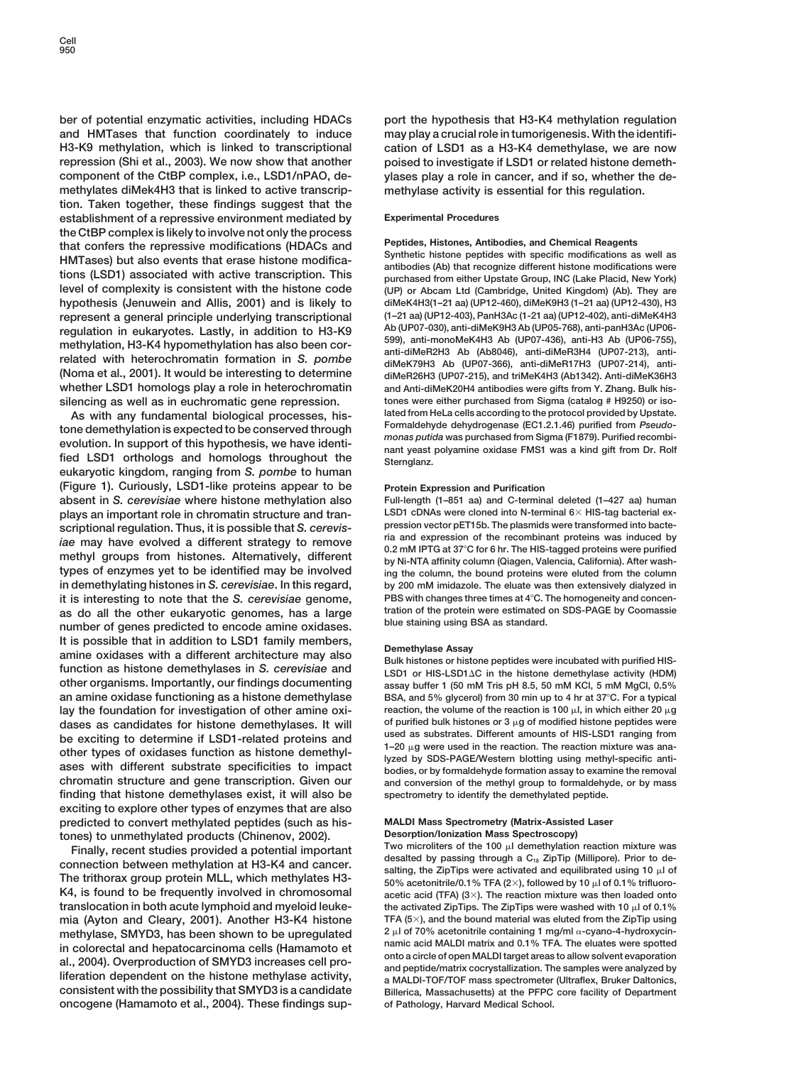**ber of potential enzymatic activities, including HDACs port the hypothesis that H3-K4 methylation regulation and HMTases that function coordinately to induce may play a crucial role in tumorigenesis. With the identifi-H3-K9 methylation, which is linked to transcriptional cation of LSD1 as a H3-K4 demethylase, we are now repression (Shi et al., 2003). We now show that another poised to investigate if LSD1 or related histone demethcomponent of the CtBP complex, i.e., LSD1/nPAO, de- ylases play a role in cancer, and if so, whether the demethylates diMek4H3 that is linked to active transcrip- methylase activity is essential for this regulation. tion. Taken together, these findings suggest that the establishment of a repressive environment mediated by Experimental Procedures** the CtBP complex is likely to involve not only the process<br>that confers the repressive modifications (HDACs and<br>HMTases) but also events that erase histone modifica-<br>tions (LSD1) associated with active transcription. This<br> **level of complexity is consistent with the histone code (UP) or Abcam Ltd (Cambridge, United Kingdom) (Ab). They are hypothesis (Jenuwein and Allis, 2001) and is likely to diMeK4H3(1–21 aa) (UP12-460), diMeK9H3 (1–21 aa) (UP12-430), H3 represent a general principle underlying transcriptional (1–21 aa) (UP12-403), PanH3Ac (1-21 aa) (UP12-402), anti-diMeK4H3** regulation in eukaryotes. Lastly, in addition to H3-K9<br>methylation, H3-K4 hypomethylation has also been correlated with heterochromatin formation in S. pombe<br>related with heterochromatin formation in S. pombe<br>(Noma et al. **whether LSD1 homologs play a role in heterochromatin and Anti-diMeK20H4 antibodies were gifts from Y. Zhang. Bulk his-**

tone demethylation is expected to be conserved through<br>evolution. In support of this hypothesis, we have identi-<br>fied LSD1 orthologs and homologs throughout the ant yeast polyamine oxidase FMS1 was a kind gift from Dr. Rol **eukaryotic kingdom, ranging from** *S. pombe* **to human (Figure 1). Curiously, LSD1-like proteins appear to be Protein Expression and Purification absent in** *S. cerevisiae* **where histone methylation also Full-length (1–851 aa) and C-terminal deleted (1–427 aa) human** plays an important role in chromatin structure and tran-<br>scriptional requistion. Thus it is possible that S. cerevis-<br>pression vector pET15b. The plasmids were transformed into bacte**pression vector pET15b. The plasmids were transformed into bacte-**<br>is may have avaluad a different strategy to remays in and expression of the recombinant proteins was induced by *ia* and expression of the recombinant proteins was induced by<br>methyl groups from histones. Alternatively, different<br>types of enzymes yet to be identified may be involved<br>in the column (Qiagen, Valencia, California). After **in demethylating histones in** *S. cerevisiae***. In this regard, by 200 mM imidazole. The eluate was then extensively dialyzed in it is interesting to note that the** *S. cerevisiae* **genome, PBS with changes three times at 4<sup>°</sup>C. The homogeneity and concen-<br>
as do all the other eukaryotic genomes, has a large tration of the protein were estimated on S** as do all the other eukaryotic genomes, has a large tration of the protein were estimated<br>number of genes predicted to encode amine oxidases. blue staining using BSA as standard. It is possible that in addition to LSD1 family members,<br>amine oxidases with a different architecture may also<br>function as histone demethylases in S. cerevisiae and<br>LSD1 or HIS-LSD1 $\Delta$ C in the histone demethylase activity **other organisms. Importantly, our findings documenting assay buffer 1 (50 mM Tris pH 8.5, 50 mM KCl, 5 mM MgCl, 0.5% an amine oxidase functioning as a histone demethylase BSA, and 5% glycerol) from 30 min up to 4 hr at 37C. For a typical lay the foundation for investigation of other amine oxi-**<br> **reaction, the volume of the reaction is 100**  $\mu$ , in which either 20  $\mu$ g<br> **reaction** is reaction is 100  $\mu$ , in which either 20  $\mu$ g<br> **reaction** is reaction **dases as candidates for histone demethylases. It will of purified bulk histones or 3 g of modified histone peptides were** be exciting to determine if LSD1-related proteins and<br>other types of oxidases function as histone demethyl-<br>asses with different substrate specificities to impact<br>chromatin structure and gene transcription. Given our<br>and **finding that histone demethylases exist, it will also be spectrometry to identify the demethylated peptide. exciting to explore other types of enzymes that are also predicted to convert methylated peptides (such as his- MALDI Mass Spectrometry (Matrix-Assisted Laser**

**The trithorax group protein MLL, which methylates H3-**  $50\%$  acetonitrile/0.1% TFA (2×), followed by 10 µl of 0.1% trifluoro-**K4, is found to be frequently involved in chromosomal** acetic acid (TFA) (3×). The reaction mixture was then loaded onto **translocation in both acute lymphoid and myeloid leuke-** the activated ZipTips. The ZipTips were wa **mia (Ayton and Cleary, 2001). Another H3-K4 histone TFA (5 ), and the bound material was eluted from the ZipTip using** methylase, SMYD3, has been shown to be upregulated<br>in colorectal and benatecarcinoma colls (Hamamoto ot namic acid MALDI matrix and 0.1% TFA. The eluates were spotted in colorectal and hepatocarcinoma cells (Hamamoto et<br>al., 2004). Overproduction of SMYD3 increases cell pro-<br>liferation dependent on the histone methylase activity,<br> $\frac{1}{2}$  a MALDI-TOF/TOF mass spectrometer (Ultraflex, **consistent with the possibility that SMYD3 is a candidate Billerica, Massachusetts) at the PFPC core facility of Department oncogene (Hamamoto et al., 2004). These findings sup- of Pathology, Harvard Medical School.**

**(Noma et al., 2001). It would be interesting to determine diMeR26H3 (UP07-215), and triMeK4H3 (Ab1342). Anti-diMeK36H3 silencing as well as in euchromatic gene repression.** tones were either purchased from Sigma (catalog # H9250) or iso-<br>As with any fundamental hiological processes his-<br>lated from HeLa cells according to the protocol prov **As with any fundamental biological processes, his- lated from HeLa cells according to the protocol provided by Upstate.**

ing the column, the bound proteins were eluted from the column

and conversion of the methyl group to formaldehyde, or by mass

tones) to unmethylated products (Chinenov, 2002).<br>Finally, recent studies provided a potential important<br>connection between methylation at H3-K4 and cancer.<br>desalted by passing through a C<sub>is</sub> ZipTip (Millipore). Prior to **the activated ZipTips. The ZipTips were washed with 10**  $\mu$ **I of 0.1%** 2 ul of 70% acetonitrile containing 1 mg/ml <sub>0</sub>-cyano-4-hydroxycin-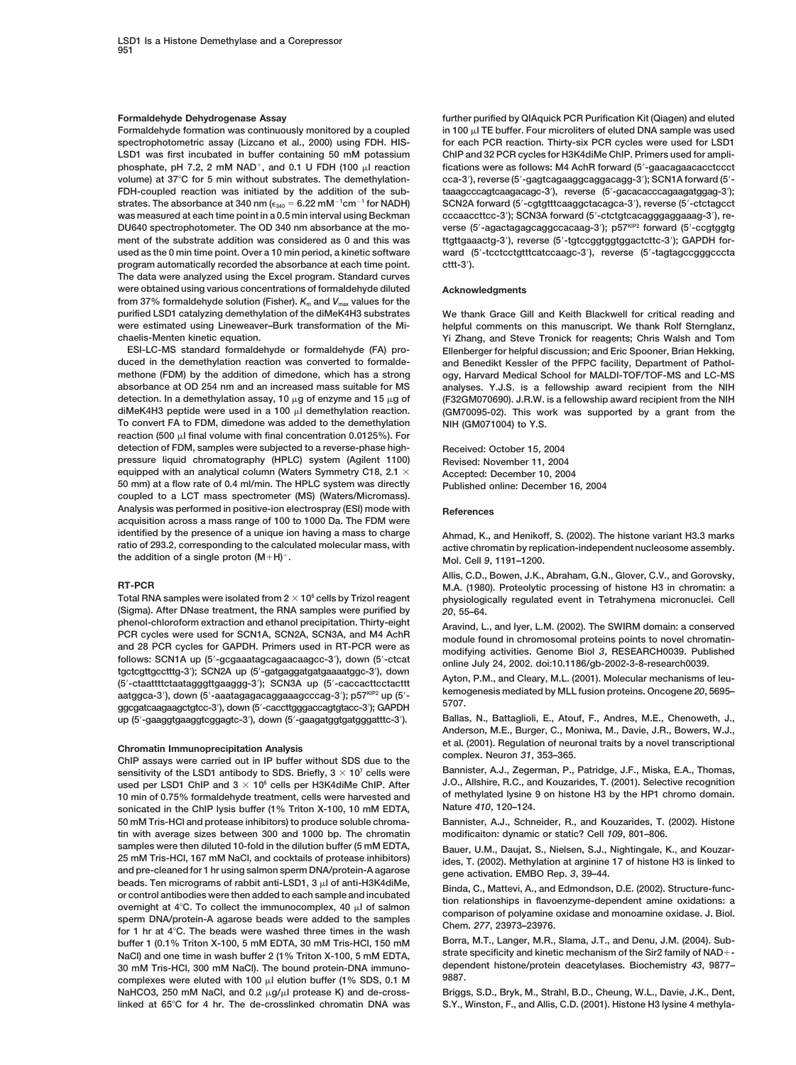**LSD1 was first incubated in buffer containing 50 mM potassium ChIP and 32 PCR cycles for H3K4diMe ChIP. Primers used for ampliphosphate, pH 7.2, 2 mM NAD<sup>+</sup>, and 0.1 U FDH (100 µl reaction volume) at 37C for 5 min without substrates. The demethylation- cca-3** FDH-coupled reaction was initiated by the addition of the sub**strates. The absorbance at 340 nm (** $\epsilon_{340} = 6.22 \text{ mM}^{-1} \text{cm}^{-1}$  **for NADH) SCN2A forward (5'** was measured at each time point in a 0.5 min interval using Beckman DU640 spectrophotometer. The OD 340 nm absorbance at the mo-<br>
verse (5'-agactagaggcaggccacaag-3'); p57<sup>KIP2</sup> forward (5'-ccgtggtg ment of the substrate addition was considered as 0 and this was **used as the 0 min time point. Over a 10 min period, a kinetic software ward (5** program automatically recorded the absorbance at each time point. **The data were analyzed using the Excel program. Standard curves were obtained using various concentrations of formaldehyde diluted Acknowledgments from 37% formaldehyde solution (Fisher).** *K***<sup>m</sup> and** *V***max values for the purified LSD1 catalyzing demethylation of the diMeK4H3 substrates We thank Grace Gill and Keith Blackwell for critical reading and were estimated using Lineweaver–Burk transformation of the Mi- helpful comments on this manuscript. We thank Rolf Sternglanz, chaelis-Menten kinetic equation. Yi Zhang, and Steve Tronick for reagents; Chris Walsh and Tom**

**duced in the demethylation reaction was converted to formalde- and Benedikt Kessler of the PFPC facility, Department of Pathol-To convert FA to FDM, dimedone was added to the demethylation NIH (GM071004) to Y.S.** reaction (500  $\mu$ I final volume with final concentration 0.0125%). For **detection of FDM, samples were subjected to a reverse-phase high- Received: October 15, 2004 pressure liquid chromatography (HPLC) system (Agilent 1100) Revised: November 11, 2004 equipped with an analytical column (Waters Symmetry C18, 2.1 Accepted: December 10, 2004 50 mm) at a flow rate of 0.4 ml/min. The HPLC system was directly Published online: December 16, 2004 coupled to a LCT mass spectrometer (MS) (Waters/Micromass).** Analysis was performed in positive-ion electrospray (ESI) mode with **References acquisition across a mass range of 100 to 1000 Da. The FDM were identified by the presence of a unique ion having a mass to charge Ahmad, K., and Henikoff, S. (2002). The histone variant H3.3 marks the addition of a single proton**  $(M+H)^+$ **. Mol. Cell 9, 1191–1200.** 

**(Sigma). After DNase treatment, the RNA samples were purified by** *20***, 55–64.** phenol-chloroform extraction and ethanol precipitation. Thirty-eight<br>
PCR cycles were used for SCN1A, SCN2A, SCN3A, and M4 AchR<br>
and 28 PCR cycles for GAPDH. Primers used in RT-PCR were as<br>
follows: SCN1A up (5'-gcgaaatagc **-gcgaaatagcagaacaagcc-3 ), down (5 -ctcat online July 24, 2002. doi:10.1186/gb-2002-3-8-research0039. tgctcgttgcctttg-3 ); SCN2A up (5 -gatgaggatgatgaaaatggc-3** tgctcgttgcctttg-3'); SCN2A up (5'-gatgaggatgatgaaaatggc-3'), down<br>(5'-ctaattttctaatagggttgaaggg-3'); SCN3A up (5'-caccacttcctacttt Ayton, P.M., and Cleary, M.L. (2001). Molecular mechanisms of leu**kemogenesis mediated by MLL fusion proteins. Oncogene** *<sup>20</sup>***, 5695– aatggca-3 ), down (5 -aaatagagacaggaaagcccag-3 ); p57KIP2 up (5 - 5707. ggcgatcaagaagctgtcc-3 ), down (5 -caccttgggaccagtgtacc-3 ); GAPDH** up (5'-gaaggtgaaggtcggagtc-3'), down (5'-gaagatggtgatgggatttc-3'). Ballas, N., Battaglioli, E., Atouf, F., Andres, M.E., Chenoweth, J.,

**Bannister, A.J., Zegerman, P., Patridge, J.F., Miska, E.A., Thomas, Bannister, A.J., Zegerman, P., Patridge, J.F., Miska, E.A., Thomas, used per LSD1** ChIP and 3  $\times$  10<sup>6</sup> cells per H3K4diMe ChIP. After **1.** J.O., Al used per LSD1 ChIP and 3  $\times$  10<sup>6</sup> cells per H3K4diMe ChIP. After J.O., Allshire, R.C., and Kouzarides, T. (2001). Selective recognition<br>10 min of 0.75% formaldehyde treatment, cells were harvested and of methylated lysin **of methylated lysine 10 min of 0.75% formaldehyde treatment, cells were harvested and** of methylated lysine is conjected in the ChIP lysic buffor (1% Triton Y 100, 10 mM EDTA **Nature** *410***, 120–124. sonicated in the ChIP lysis buffer (1% Triton X-100, 10 mM EDTA, 50 mM Tris-HCl and protease inhibitors) to produce soluble chroma- Bannister, A.J., Schneider, R., and Kouzarides, T. (2002). Histone tin with average sizes between 300 and 1000 bp. The chromatin modificaiton: dynamic or static? Cell** *109***, 801–806.** samples were then diluted 10-fold in the dilution buffer (5 mM EDTA,<br>25 mM Tris-HCl, 167 mM NaCl, and cocktails of protease inhibitors) ides. T. (2002). Methylation at arginine 17 of histone H3 is linked to **and pre-cleaned for 1 hr using salmon sperm DNA/protein-A agarose gene activation. EMBO Rep.** *3***, 39–44.** beads. Ten micrograms of rabbit anti-LSD1, 3  $\mu$ l of anti-H3K4diMe,<br>or control antibodies were then added to each sample and incubated<br>overnight at 4°C. To collect the immunocomplex, 40  $\mu$ l of salmon<br>sperm DNA/protein-**Borra, M.T., Langer, M.R., Slama, J.T., and Denu, J.M. (2004). Sub-**<br>buffer 1 (0.1% Triton X-100, 5 mM EDTA, 30 mM Tris-HCl, 150 mM<br>buffl and ano time in work buffer 2 (1% Triton X-100, 5 mM EDTA strate specificity and ki **NaCl) and one time in wash buffer 2 (1% Triton X-100, 5 mM EDTA, strate specificity and kinetic mechanism of the Sir2 family of NAD-** 30 mM Tris-HCl, 300 mM NaCl). The bound protein-DNA immuno-<br> **Complexes. Were eluted with 100 all olution buffor (4.0/ SDS, 0.4, M, 39887). 9887. complexes were eluted with 100 l elution buffer (1% SDS, 0.1 M** NaHCO3, 250 mM NaCl, and 0.2 µg/µl protease K) and de-cross-<br>Briggs, S.D., Bryk, M., Strahl, B.D., Cheung, W.L., Davie, J.K., Dent, **linked at 65C for 4 hr. The de-crosslinked chromatin DNA was S.Y., Winston, F., and Allis, C.D. (2001). Histone H3 lysine 4 methyla-**

**Formaldehyde Dehydrogenase Assay further purified by QIAquick PCR Purification Kit (Qiagen) and eluted** Formaldehyde formation was continuously monitored by a coupled in 100  $\mu$  TE buffer. Four microliters of eluted DNA sample was used<br>spectrophotometric assay (Lizcano et al., 2000) using FDH. HIS- for each PCR reaction. Th for each PCR reaction. Thirty-six PCR cycles were used for LSD1 fications were as follows: M4 AchR forward (5'-gaacagaacacctccct **), reverse (5 -gagtcagaaggcaggacagg-3 ); SCN1A forward (5 - ), reverse (5 -gacacacccagaagatggag-3 );** <sup>-1</sup>cm<sup>-1</sup> for NADH) SCN2A forward (5'-cgtgtttcaaggctacagca-3'), reverse (5'-ctctagcct **); SCN3A forward (5 -ctctgtcacagggaggaaag-3 ), re-), reverse (5 -tgtccggtggtggactcttc-3 ); GAPDH for--tcctcctgtttcatccaagc-3 ), reverse (5 -tagtagccgggcccta ).**

**ESI-LC-MS standard formaldehyde or formaldehyde (FA) pro- Ellenberger for helpful discussion; and Eric Spooner, Brian Hekking,** methone (FDM) by the addition of dimedone, which has a strong ogy, Harvard Medical School for MALDI-TOF/TOF-MS and LC-MS<br>absorbance at OD 254 nm and an increased mass suitable for MS analyses. Y.J.S. is a fellowship award analyses. Y.J.S. is a fellowship award recipient from the NIH **detection. In a demethylation assay, 10 g of enzyme and 15 g of (F32GM070690). J.R.W. is a fellowship award recipient from the NIH diMeK4H3 peptide were used in a 100 l demethylation reaction. (GM70095-02). This work was supported by a grant from the**

**ratio of 293.2, corresponding to the calculated molecular mass, with active chromatin by replication-independent nucleosome assembly.**

**Allis, C.D., Bowen, J.K., Abraham, G.N., Glover, C.V., and Gorovsky, RT-PCR M.A. (1980). Proteolytic processing of histone H3 in chromatin: a** physiologically regulated event in Tetrahymena micronuclei. Cell

**Anderson, M.E., Burger, C., Moniwa, M., Davie, J.R., Bowers, W.J., Chromatin Immunoprecipitation Analysis** et al. (2001). Regulation of neuronal traits by a novel transcriptional<br>ChIP assays were carried out in IP buffer without SDS due to the<br>sensitivity of the I SD1 antibody to SDS. B

**25 mM Tris-HCl, 167 mM NaCl, and cocktails of protease inhibitors) ides, T. (2002). Methylation at arginine 17 of histone H3 is linked to**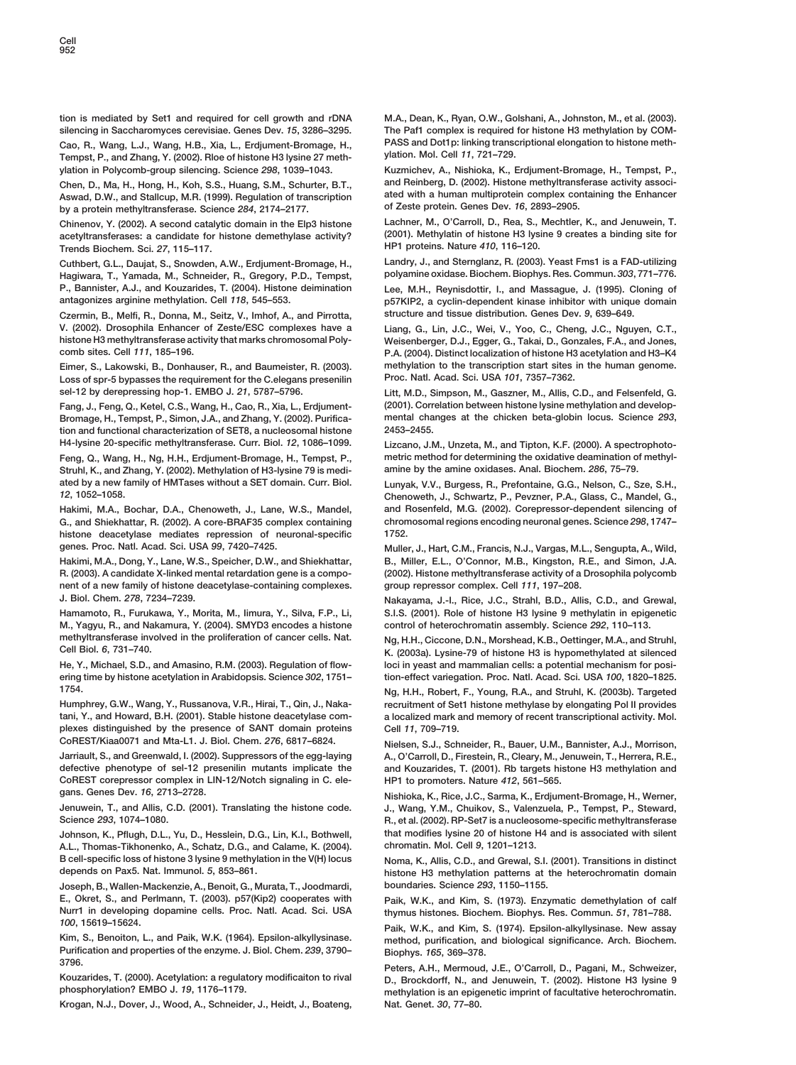Cao, R., Wang, L.J., Wang, H.B., Xia, L., Erdjument-Bromage, H., PASS and Dot1p: linking transd<br>Tempst, P., and Zhang, Y. (2002), Bloe of histone H3 Iysine 27 meth-**step in the meth-** wildtion. Mol. Cell 11, 721–729. Tempst, P., and Zhang, Y. (2002). Rloe of histone H3 lysine 27 meth**ylation in Polycomb-group silencing. Science** *298***, 1039–1043. Kuzmichev, A., Nishioka, K., Erdjument-Bromage, H., Tempst, P.,**

Aswad, D.W., and Stallcup, M.R. (1999). Regulation of transcription ated with a human multiprotein complex coi<br>Lok a protein methyltransferase, Science 284, 2174–2177. **The Englancer** of Zeste protein. Genes Dev. 16, 2893– **by a protein methyltransferase. Science 284, 2174-2177.** 

acetyltransferases: a candidate for histone demethylase activity? (2001). Methylatin of histone H3 lys<br>Trends Biochem. Sci. 27, 115–117. **Trends Biochem. Sci.** *27* **HP1 proteins. Nature** *410***, 116–120. , 115–117.**

**Cuthbert, G.L., Daujat, S., Snowden, A.W., Erdjument-Bromage, H., Landry, J., and Sternglanz, R. (2003). Yeast Fms1 is a FAD-utilizing Hagiwara, T., Yamada, M., Schneider, R., Gregory, P.D., Tempst, polyamine oxidase. Biochem. Biophys. Res. Commun.** *303***, 771–776. P., Bannister, A.J., and Kouzarides, T. (2004). Histone deimination Lee, M.H., Reynisdottir, I., and Massague, J. (1995). Cloning of**

**Czermin, B., Melfi, R., Donna, M., Seitz, V., Imhof, A., and Pirrotta, structure and tissue distribution. Genes Dev.** *9***, 639–649. V. (2002). Drosophila Enhancer of Zeste/ESC complexes have a Liang, G., Lin, J.C., Wei, V., Yoo, C., Cheng, J.C., Nguyen, C.T., histone H3 methyltransferase activity that marks chromosomal Poly- Weisenberger, D.J., Egger, G., Takai, D., Gonzales, F.A., and Jones,**

**Loss of spr-5 bypasses the requirement for the C.elegans presenilin Proc. Natl. Acad. Sci. USA** *101***, 7357–7362. sel-12 by derepressing hop-1. EMBO J.** *21***, 5787–5796. Litt, M.D., Simpson, M., Gaszner, M., Allis, C.D., and Felsenfeld, G.**

**Bromage, H., Tempst, P., Simon, J.A., and Zhang, Y. (2002). Purifica- mental changes at the chicken beta-globin locus. Science** *293***, tion and functional characterization of SET8, a nucleosomal histone 2453–2455. H4-lysine 20-specific methyltransferase. Curr. Biol.** *12***, 1086–1099. Lizcano, J.M., Unzeta, M., and Tipton, K.F. (2000). A spectrophoto-Feng, Q., Wang, H., Ng, H.H., Erdjument-Bromage, H., Tempst, P., metric method for determining the oxidative deamination of methyl-Struhl, K., and Zhang, Y. (2002). Methylation of H3-lysine 79 is medi- amine by the amine oxidases. Anal. Biochem.** *286***, 75–79.**

**Hakimi, M.A., Bochar, D.A., Chenoweth, J., Lane, W.S., Mandel, and Rosenfeld, M.G. (2002). Corepressor-dependent silencing of G., and Shiekhattar, R. (2002). A core-BRAF35 complex containing chromosomal regions encoding the science** *chrom***<br>
<b>histone** deacetylase mediates repression of neuronal-specific 1752. **histone deacetylase mediates repression of neuronal-specific 1752. genes. Proc. Natl. Acad. Sci. USA** *99***, 7420–7425. Muller, J., Hart, C.M., Francis, N.J., Vargas, M.L., Sengupta, A., Wild,**

**R. (2003). A candidate X-linked mental retardation gene is a compo- (2002). Histone methyltransferase activity of a Drosophila polycomb nent of a new family of histone deacetylase-containing complexes. group repressor complex. Cell** *111***, 197–208. J. Biol. Chem.** *278***, 7234–7239. Nakayama, J.-I., Rice, J.C., Strahl, B.D., Allis, C.D., and Grewal,**

**M., Yagyu, R., and Nakamura, Y. (2004). SMYD3 encodes a histone control of heterochromatin assembly. Science** *292***, 110–113. methyltransferase involved in the proliferation of cancer cells. Nat. Ng, H.H., Ciccone, D.N., Morshead, K.B., Oettinger, M.A., and Struhl,**

**ering time by histone acetylation in Arabidopsis. Science** *302***, 1751– tion-effect variegation. Proc. Natl. Acad. Sci. USA** *100***, 1820–1825. 1754. Ng, H.H., Robert, F., Young, R.A., and Struhl, K. (2003b). Targeted**

**tani, Y., and Howard, B.H. (2001). Stable histone deacetylase com- a localized mark and memory of recent transcriptional activity. Mol. plexes distinguished by the presence of SANT domain proteins Cell** *11***, 709–719.**

**Jarriault, S., and Greenwald, I. (2002). Suppressors of the egg-laying A., O'Carroll, D., Firestein, R., Cleary, M., Jenuwein, T., Herrera, R.E., CoREST corepressor complex in LIN-12/Notch signaling in C. ele- HP1 to promoters. Nature** *412***, 561–565.**

**A.L., Thomas-Tikhonenko, A., Schatz, D.G., and Calame, K. (2004). chromatin. Mol. Cell** *9***, 1201–1213. B cell-specific loss of histone 3 lysine 9 methylation in the V(H) locus Noma, K., Allis, C.D., and Grewal, S.I. (2001). Transitions in distinct**

**Joseph, B., Wallen-Mackenzie, A., Benoit, G., Murata, T., Joodmardi, boundaries. Science** *293***, 1150–1155. E., Okret, S., and Perlmann, T. (2003). p57(Kip2) cooperates with Paik, W.K., and Kim, S. (1973). Enzymatic demethylation of calf Nurr1 in developing dopamine cells. Proc. Natl. Acad. Sci. USA thymus histones. Biochem. Biophys. Res. Commun.** *51***, 781–788.**

**Purification and properties of the enzyme. J. Biol. Chem.** *239***, 3790– Biophys.** *165***, 369–378.**

**Krogan, N.J., Dover, J., Wood, A., Schneider, J., Heidt, J., Boateng, Nat. Genet.** *30***, 77–80.**

**tion is mediated by Set1 and required for cell growth and rDNA M.A., Dean, K., Ryan, O.W., Golshani, A., Johnston, M., et al. (2003). silencing in Saccharomyces cerevisiae. Genes Dev.** *15***, 3286–3295. The Paf1 complex is required for histone H3 methylation by COM-**

**Chen, D., Ma, H., Hong, H., Koh, S.S., Huang, S.M., Schurter, B.T., and Reinberg, D. (2002). Histone methyltransferase activity associ-**

**Chinenov, Y. (2002). A second catalytic domain in the Elp3 histone Lachner, M., O'Carroll, D., Rea, S., Mechtler, K., and Jenuwein, T.**

**antagonizes arginine methylation. Cell** *118***, 545–553. p57KIP2, a cyclin-dependent kinase inhibitor with unique domain**

**comb sites. Cell** *111***, 185–196. P.A. (2004). Distinct localization of histone H3 acetylation and H3–K4 Eimer, S., Lakowski, B., Donhauser, R., and Baumeister, R. (2003). methylation to the transcription start sites in the human genome.**

**Fang, J., Feng, Q., Ketel, C.S., Wang, H., Cao, R., Xia, L., Erdjument- (2001). Correlation between histone lysine methylation and develop-**

**ated by a new family of HMTases without a SET domain. Curr. Biol. Lunyak, V.V., Burgess, R., Prefontaine, G.G., Nelson, C., Sze, S.H.,** *12***, 1052–1058. Chenoweth, J., Schwartz, P., Pevzner, P.A., Glass, C., Mandel, G.,**

**Hakimi, M.A., Dong, Y., Lane, W.S., Speicher, D.W., and Shiekhattar, B., Miller, E.L., O'Connor, M.B., Kingston, R.E., and Simon, J.A.**

**Hamamoto, R., Furukawa, Y., Morita, M., Iimura, Y., Silva, F.P., Li, S.I.S. (2001). Role of histone H3 lysine 9 methylatin in epigenetic**

**Cell Biol.** *6***, 731–740. K. (2003a). Lysine-79 of histone H3 is hypomethylated at silenced He, Y., Michael, S.D., and Amasino, R.M. (2003). Regulation of flow- loci in yeast and mammalian cells: a potential mechanism for posi-**

**Humphrey, G.W., Wang, Y., Russanova, V.R., Hirai, T., Qin, J., Naka- recruitment of Set1 histone methylase by elongating Pol II provides**

**CoREST/Kiaa0071 and Mta-L1. J. Biol. Chem.** *276***, 6817–6824. Nielsen, S.J., Schneider, R., Bauer, U.M., Bannister, A.J., Morrison,** and Kouzarides, T. (2001). Rb targets histone H3 methylation and

**gans. Genes Dev.** *<sup>16</sup>***, 2713–2728. Nishioka, K., Rice, J.C., Sarma, K., Erdjument-Bromage, H., Werner, Jenuwein, T., and Allis, C.D. (2001). Translating the histone code. J., Wang, Y.M., Chuikov, S., Valenzuela, P., Tempst, P., Steward, Science** *293***, 1074–1080. R., et al. (2002). RP-Set7 is a nucleosome-specific methyltransferase Johnson, K., Pflugh, D.L., Yu, D., Hesslein, D.G., Lin, K.I., Bothwell, that modifies lysine 20 of histone H4 and is associated with silent**

histone H3 methylation patterns at the heterochromatin domain

*<sup>100</sup>***, 15619–15624. Paik, W.K., and Kim, S. (1974). Epsilon-alkyllysinase. New assay**  $R$ nethod, purification, and biological significance. Arch. Biochem.

**3796. Peters, A.H., Mermoud, J.E., O'Carroll, D., Pagani, M., Schweizer, Kouzarides, T. (2000). Acetylation: a regulatory modificaiton to rival D., Brockdorff, N., and Jenuwein, T. (2002). Histone H3 lysine 9 phosphorylation? EMBO J.** *19***, 1176–1179. methylation is an epigenetic imprint of facultative heterochromatin.**